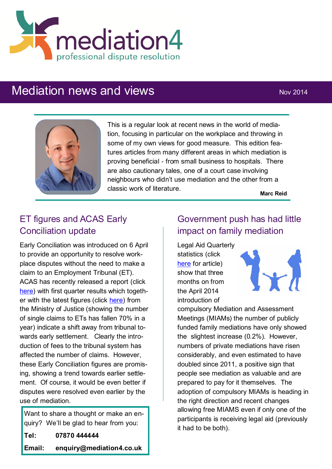

## Mediation news and views Nov 2014



This is a regular look at recent news in the world of mediation, focusing in particular on the workplace and throwing in some of my own views for good measure. This edition features articles from many different areas in which mediation is proving beneficial - from small business to hospitals. There are also cautionary tales, one of a court case involving neighbours who didn't use mediation and the other from a classic work of literature.

**Marc Reid**

## ET figures and ACAS Early Conciliation update

Early Conciliation was introduced on 6 April to provide an opportunity to resolve workplace disputes without the need to make a claim to an Employment Tribunal (ET). ACAS has recently released a report (click [here\)](http://www.acas.org.uk/index.aspx?articleid=4960) with first quarter results which together with the latest figures (click [here\)](http://www.cipd.co.uk/pm/peoplemanagement/b/weblog/archive/2014/09/11/employment-tribunals-fall-year-on-year-moj-figures-show.aspx?utm_medium=email&utm_source=cipd&utm_campaign=pmdaily&utm_content=110914_news_1) from the Ministry of Justice (showing the number of single claims to ETs has fallen 70% in a year) indicate a shift away from tribunal towards early settlement. Clearly the introduction of fees to the tribunal system has affected the number of claims. However, these Early Conciliation figures are promising, showing a trend towards earlier settlement. Of course, it would be even better if disputes were resolved even earlier by the use of mediation.

Want to share a thought or make an enquiry? We'll be glad to hear from you: **Tel: 07870 444444 Email: enquiry@mediation4.co.uk**

## Government push has had little impact on family mediation

Legal Aid Quarterly statistics (click [here](http://www.familylaw.co.uk/news_and_comment/latest-statistics-show-that-government-push-has-had-little-impact-on-mediation-numbers#.VGM1oGByaM9) for article) show that three months on from the April 2014 introduction of



compulsory Mediation and Assessment Meetings (MIAMs) the number of publicly funded family mediations have only showed the slightest increase (0.2%). However, numbers of private mediations have risen considerably, and even estimated to have doubled since 2011, a positive sign that people see mediation as valuable and are prepared to pay for it themselves. The adoption of compulsory MIAMs is heading in the right direction and recent changes allowing free MIAMS even if only one of the participants is receiving legal aid (previously it had to be both).